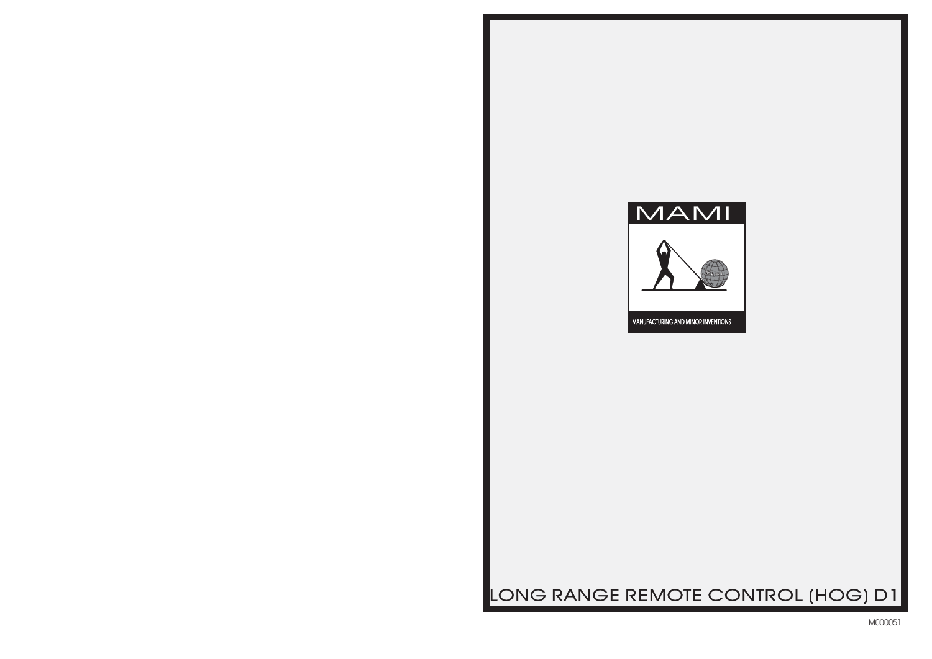

# LONG RANGE REMOTE CONTROL (HOG) D1